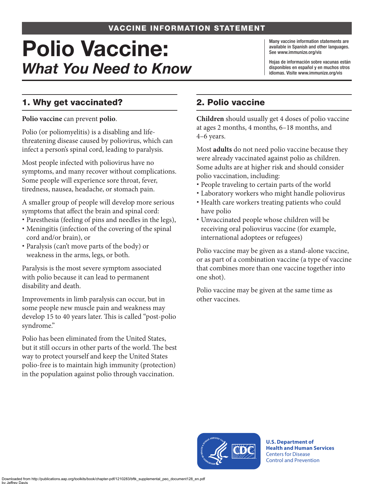#### VACCINE INFORMATION STATEMENT

# Polio Vaccine: *What You Need to Know*

Many vaccine information statements are available in Spanish and other languages. See [www.immunize.org/vis](http://www.immunize.org/vis)

Hojas de información sobre vacunas están disponibles en español y en muchos otros idiomas. Visite [www.immunize.org/vis](http://www.immunize.org/vis)

### 1. Why get vaccinated?

**Polio vaccine** can prevent **polio**.

Polio (or poliomyelitis) is a disabling and lifethreatening disease caused by poliovirus, which can infect a person's spinal cord, leading to paralysis.

Most people infected with poliovirus have no symptoms, and many recover without complications. Some people will experience sore throat, fever, tiredness, nausea, headache, or stomach pain.

A smaller group of people will develop more serious symptoms that affect the brain and spinal cord:

- Paresthesia (feeling of pins and needles in the legs),
- Meningitis (infection of the covering of the spinal cord and/or brain), or
- Paralysis (can't move parts of the body) or weakness in the arms, legs, or both.

Paralysis is the most severe symptom associated with polio because it can lead to permanent disability and death.

Improvements in limb paralysis can occur, but in some people new muscle pain and weakness may develop 15 to 40 years later. This is called "post-polio syndrome."

Polio has been eliminated from the United States, but it still occurs in other parts of the world. The best way to protect yourself and keep the United States polio-free is to maintain high immunity (protection) in the population against polio through vaccination.

## 2. Polio vaccine

**Children** should usually get 4 doses of polio vaccine at ages 2 months, 4 months, 6–18 months, and 4–6 years.

Most **adults** do not need polio vaccine because they were already vaccinated against polio as children. Some adults are at higher risk and should consider polio vaccination, including:

- People traveling to certain parts of the world
- Laboratory workers who might handle poliovirus
- Health care workers treating patients who could have polio
- Unvaccinated people whose children will be receiving oral poliovirus vaccine (for example, international adoptees or refugees)

Polio vaccine may be given as a stand-alone vaccine, or as part of a combination vaccine (a type of vaccine that combines more than one vaccine together into one shot).

Polio vaccine may be given at the same time as other vaccines.



**U.S. Department of Health and Human Services**  Centers for Disease Control and Prevention